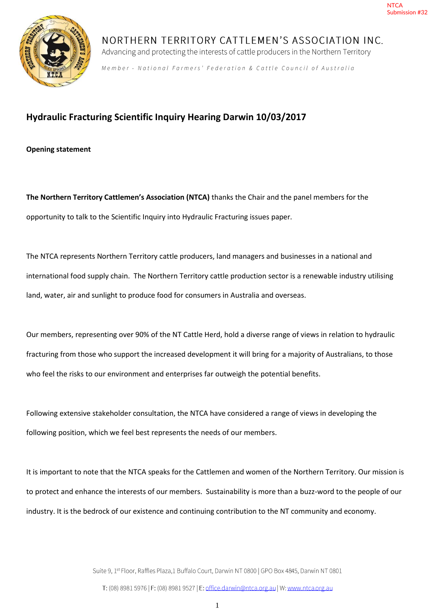

NORTHERN TERRITORY CATTLEMEN'S ASSOCIATION INC. Advancing and protecting the interests of cattle producers in the Northern Territory

Member - National Farmers' Federation & Cattle Council of Australia

# **Hydraulic Fracturing Scientific Inquiry Hearing Darwin 10/03/2017**

**Opening statement** 

**The Northern Territory Cattlemen's Association (NTCA)** thanks the Chair and the panel members for the opportunity to talk to the Scientific Inquiry into Hydraulic Fracturing issues paper.

The NTCA represents Northern Territory cattle producers, land managers and businesses in a national and international food supply chain. The Northern Territory cattle production sector is a renewable industry utilising land, water, air and sunlight to produce food for consumers in Australia and overseas.

Our members, representing over 90% of the NT Cattle Herd, hold a diverse range of views in relation to hydraulic fracturing from those who support the increased development it will bring for a majority of Australians, to those who feel the risks to our environment and enterprises far outweigh the potential benefits.

Following extensive stakeholder consultation, the NTCA have considered a range of views in developing the following position, which we feel best represents the needs of our members.

It is important to note that the NTCA speaks for the Cattlemen and women of the Northern Territory. Our mission is to protect and enhance the interests of our members. Sustainability is more than a buzz-word to the people of our industry. It is the bedrock of our existence and continuing contribution to the NT community and economy.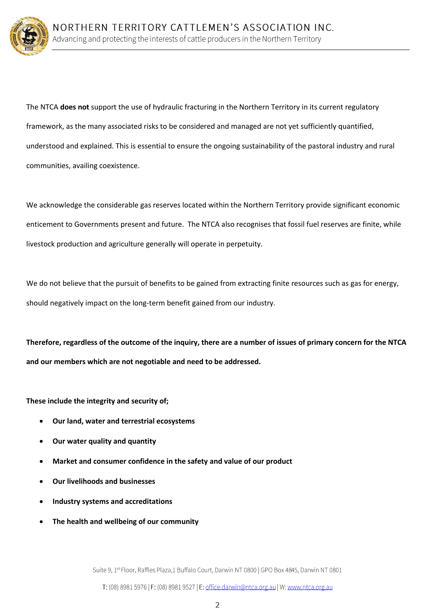

The NTCA **does not** support the use of hydraulic fracturing in the Northern Territory in its current regulatory framework, as the many associated risks to be considered and managed are not yet sufficiently quantified, understood and explained. This is essential to ensure the ongoing sustainability of the pastoral industry and rural communities, availing coexistence.

We acknowledge the considerable gas reserves located within the Northern Territory provide significant economic enticement to Governments present and future. The NTCA also recognises that fossil fuel reserves are finite, while livestock production and agriculture generally will operate in perpetuity.

We do not believe that the pursuit of benefits to be gained from extracting finite resources such as gas for energy, should negatively impact on the long-term benefit gained from our industry.

**Therefore, regardless of the outcome of the inquiry, there are a number of issues of primary concern for the NTCA and our members which are not negotiable and need to be addressed.** 

**These include the integrity and security of;** 

- **Our land, water and terrestrial ecosystems**
- **Our water quality and quantity**
- **Market and consumer confidence in the safety and value of our product**
- **Our livelihoods and businesses**
- **Industry systems and accreditations**
- **The health and wellbeing of our community**

Suite 9, 1<sup>st</sup> Floor, Raffles Plaza, 1 Buffalo Court, Darwin NT 0800 | GPO Box 4845, Darwin NT 0801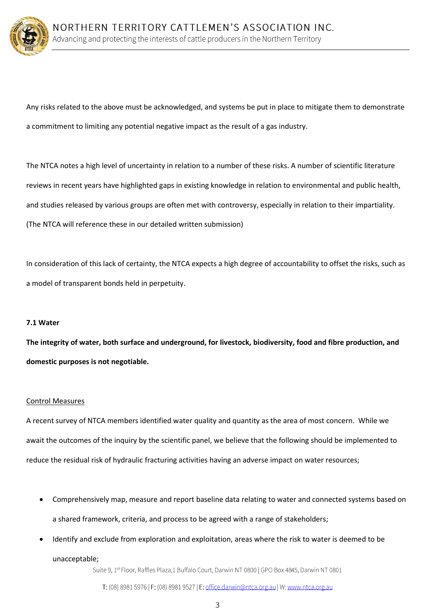

Any risks related to the above must be acknowledged, and systems be put in place to mitigate them to demonstrate a commitment to limiting any potential negative impact as the result of a gas industry.

The NTCA notes a high level of uncertainty in relation to a number of these risks. A number of scientific literature reviews in recent years have highlighted gaps in existing knowledge in relation to environmental and public health, and studies released by various groups are often met with controversy, especially in relation to their impartiality. (The NTCA will reference these in our detailed written submission)

In consideration of this lack of certainty, the NTCA expects a high degree of accountability to offset the risks, such as a model of transparent bonds held in perpetuity.

### **7.1 Water**

**The integrity of water, both surface and underground, for livestock, biodiversity, food and fibre production, and domestic purposes is not negotiable.** 

### Control Measures

A recent survey of NTCA members identified water quality and quantity as the area of most concern. While we await the outcomes of the inquiry by the scientific panel, we believe that the following should be implemented to reduce the residual risk of hydraulic fracturing activities having an adverse impact on water resources;

- Comprehensively map, measure and report baseline data relating to water and connected systems based on a shared framework, criteria, and process to be agreed with a range of stakeholders;
- Identify and exclude from exploration and exploitation, areas where the risk to water is deemed to be unacceptable;

Suite 9, 1<sup>st</sup> Floor, Raffles Plaza, 1 Buffalo Court, Darwin NT 0800 | GPO Box 4845, Darwin NT 0801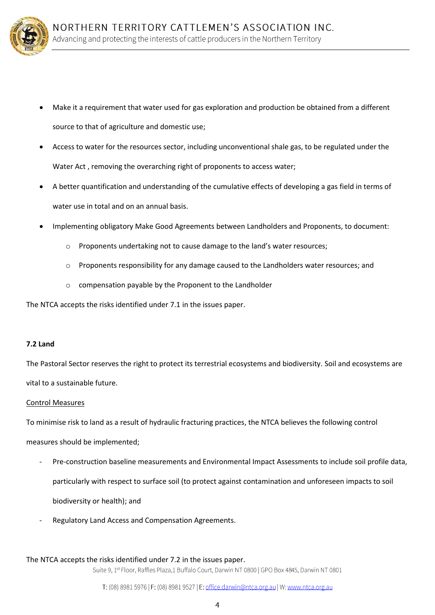

- Make it a requirement that water used for gas exploration and production be obtained from a different source to that of agriculture and domestic use;
- Access to water for the resources sector, including unconventional shale gas, to be regulated under the Water Act , removing the overarching right of proponents to access water;
- A better quantification and understanding of the cumulative effects of developing a gas field in terms of water use in total and on an annual basis.
- Implementing obligatory Make Good Agreements between Landholders and Proponents, to document:
	- o Proponents undertaking not to cause damage to the land's water resources;
	- o Proponents responsibility for any damage caused to the Landholders water resources; and
	- o compensation payable by the Proponent to the Landholder

The NTCA accepts the risks identified under 7.1 in the issues paper.

### **7.2 Land**

The Pastoral Sector reserves the right to protect its terrestrial ecosystems and biodiversity. Soil and ecosystems are vital to a sustainable future.

### Control Measures

To minimise risk to land as a result of hydraulic fracturing practices, the NTCA believes the following control

measures should be implemented;

- Pre-construction baseline measurements and Environmental Impact Assessments to include soil profile data, particularly with respect to surface soil (to protect against contamination and unforeseen impacts to soil biodiversity or health); and
- Regulatory Land Access and Compensation Agreements.

### The NTCA accepts the risks identified under 7.2 in the issues paper.

Suite 9, 1st Floor, Raffles Plaza,1 Buffalo Court, Darwin NT 0800 | GPO Box 4845, Darwin NT 0801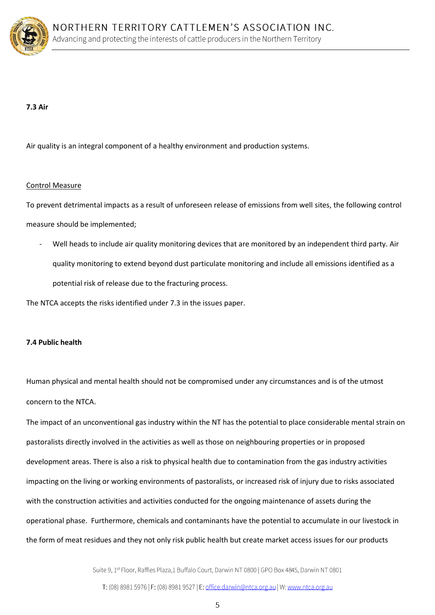

### **7.3 Air**

Air quality is an integral component of a healthy environment and production systems.

#### Control Measure

To prevent detrimental impacts as a result of unforeseen release of emissions from well sites, the following control measure should be implemented;

Well heads to include air quality monitoring devices that are monitored by an independent third party. Air quality monitoring to extend beyond dust particulate monitoring and include all emissions identified as a potential risk of release due to the fracturing process.

The NTCA accepts the risks identified under 7.3 in the issues paper.

### **7.4 Public health**

Human physical and mental health should not be compromised under any circumstances and is of the utmost concern to the NTCA.

The impact of an unconventional gas industry within the NT has the potential to place considerable mental strain on pastoralists directly involved in the activities as well as those on neighbouring properties or in proposed development areas. There is also a risk to physical health due to contamination from the gas industry activities impacting on the living or working environments of pastoralists, or increased risk of injury due to risks associated with the construction activities and activities conducted for the ongoing maintenance of assets during the operational phase. Furthermore, chemicals and contaminants have the potential to accumulate in our livestock in the form of meat residues and they not only risk public health but create market access issues for our products

Suite 9, 1<sup>st</sup> Floor, Raffles Plaza, 1 Buffalo Court, Darwin NT 0800 | GPO Box 4845, Darwin NT 0801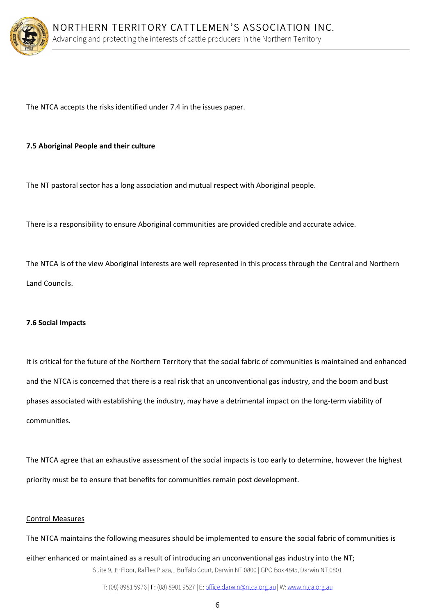

The NTCA accepts the risks identified under 7.4 in the issues paper.

### **7.5 Aboriginal People and their culture**

The NT pastoral sector has a long association and mutual respect with Aboriginal people.

There is a responsibility to ensure Aboriginal communities are provided credible and accurate advice.

The NTCA is of the view Aboriginal interests are well represented in this process through the Central and Northern Land Councils.

### **7.6 Social Impacts**

It is critical for the future of the Northern Territory that the social fabric of communities is maintained and enhanced and the NTCA is concerned that there is a real risk that an unconventional gas industry, and the boom and bust phases associated with establishing the industry, may have a detrimental impact on the long-term viability of communities.

The NTCA agree that an exhaustive assessment of the social impacts is too early to determine, however the highest priority must be to ensure that benefits for communities remain post development.

#### Control Measures

The NTCA maintains the following measures should be implemented to ensure the social fabric of communities is

either enhanced or maintained as a result of introducing an unconventional gas industry into the NT; Suite 9, 1st Floor, Raffles Plaza,1 Buffalo Court, Darwin NT 0800 | GPO Box 4845, Darwin NT 0801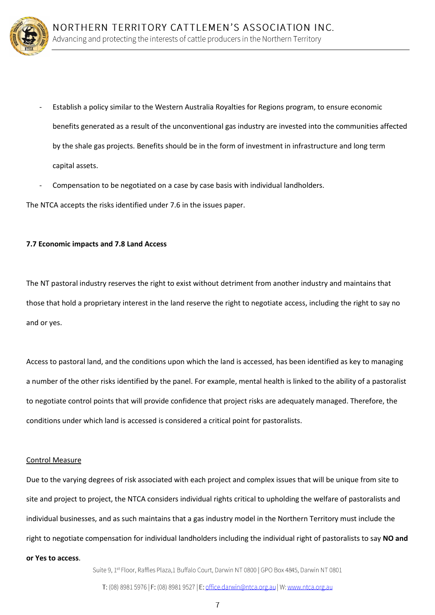

- Establish a policy similar to the Western Australia Royalties for Regions program, to ensure economic benefits generated as a result of the unconventional gas industry are invested into the communities affected by the shale gas projects. Benefits should be in the form of investment in infrastructure and long term capital assets.
- Compensation to be negotiated on a case by case basis with individual landholders.

The NTCA accepts the risks identified under 7.6 in the issues paper.

### **7.7 Economic impacts and 7.8 Land Access**

The NT pastoral industry reserves the right to exist without detriment from another industry and maintains that those that hold a proprietary interest in the land reserve the right to negotiate access, including the right to say no and or yes.

Access to pastoral land, and the conditions upon which the land is accessed, has been identified as key to managing a number of the other risks identified by the panel. For example, mental health is linked to the ability of a pastoralist to negotiate control points that will provide confidence that project risks are adequately managed. Therefore, the conditions under which land is accessed is considered a critical point for pastoralists.

#### Control Measure

Due to the varying degrees of risk associated with each project and complex issues that will be unique from site to site and project to project, the NTCA considers individual rights critical to upholding the welfare of pastoralists and individual businesses, and as such maintains that a gas industry model in the Northern Territory must include the right to negotiate compensation for individual landholders including the individual right of pastoralists to say **NO and or Yes to access**.

Suite 9, 1<sup>st</sup> Floor, Raffles Plaza,1 Buffalo Court, Darwin NT 0800 | GPO Box 4845, Darwin NT 0801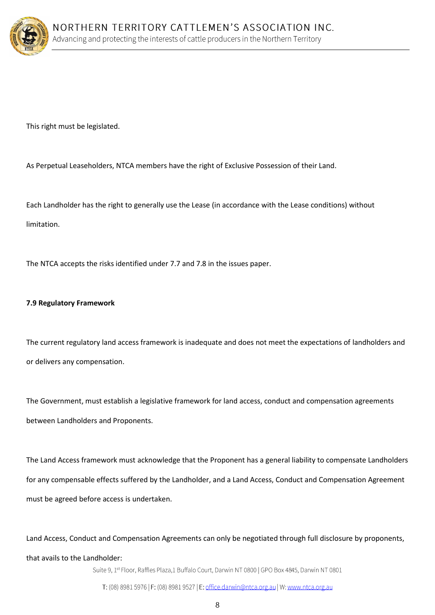

This right must be legislated.

As Perpetual Leaseholders, NTCA members have the right of Exclusive Possession of their Land.

Each Landholder has the right to generally use the Lease (in accordance with the Lease conditions) without limitation.

The NTCA accepts the risks identified under 7.7 and 7.8 in the issues paper.

# **7.9 Regulatory Framework**

The current regulatory land access framework is inadequate and does not meet the expectations of landholders and or delivers any compensation.

The Government, must establish a legislative framework for land access, conduct and compensation agreements between Landholders and Proponents.

The Land Access framework must acknowledge that the Proponent has a general liability to compensate Landholders for any compensable effects suffered by the Landholder, and a Land Access, Conduct and Compensation Agreement must be agreed before access is undertaken.

Land Access, Conduct and Compensation Agreements can only be negotiated through full disclosure by proponents, that avails to the Landholder:

Suite 9, 1st Floor, Raffles Plaza,1 Buffalo Court, Darwin NT 0800 | GPO Box 4845, Darwin NT 0801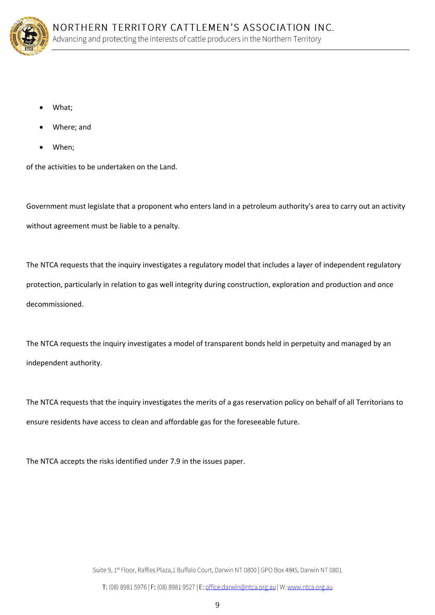

- What;
- Where; and
- When;

of the activities to be undertaken on the Land.

Government must legislate that a proponent who enters land in a petroleum authority's area to carry out an activity without agreement must be liable to a penalty.

The NTCA requests that the inquiry investigates a regulatory model that includes a layer of independent regulatory protection, particularly in relation to gas well integrity during construction, exploration and production and once decommissioned.

The NTCA requests the inquiry investigates a model of transparent bonds held in perpetuity and managed by an independent authority.

The NTCA requests that the inquiry investigates the merits of a gas reservation policy on behalf of all Territorians to ensure residents have access to clean and affordable gas for the foreseeable future.

The NTCA accepts the risks identified under 7.9 in the issues paper.

Suite 9, 1st Floor, Raffles Plaza, 1 Buffalo Court, Darwin NT 0800 | GPO Box 4845, Darwin NT 0801